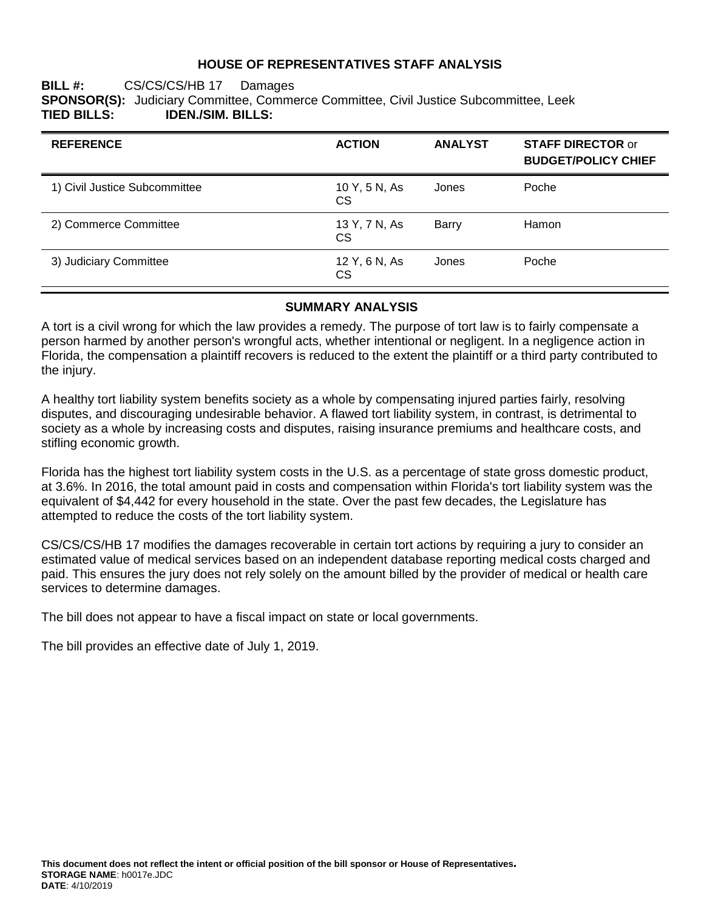#### **HOUSE OF REPRESENTATIVES STAFF ANALYSIS**

#### **BILL #:** CS/CS/CS/HB 17 Damages **SPONSOR(S):** Judiciary Committee, Commerce Committee, Civil Justice Subcommittee, Leek<br>TIED BILLS: **IDEN./SIM. BILLS: TIED BILLS: IDEN./SIM. BILLS:**

| <b>REFERENCE</b>              | <b>ACTION</b>              | <b>ANALYST</b> | <b>STAFF DIRECTOR or</b><br><b>BUDGET/POLICY CHIEF</b> |
|-------------------------------|----------------------------|----------------|--------------------------------------------------------|
| 1) Civil Justice Subcommittee | 10 Y, 5 N, As<br><b>CS</b> | Jones          | Poche                                                  |
| 2) Commerce Committee         | 13 Y, 7 N, As<br><b>CS</b> | Barry          | Hamon                                                  |
| 3) Judiciary Committee        | 12 Y, 6 N, As<br><b>CS</b> | Jones          | Poche                                                  |

#### **SUMMARY ANALYSIS**

A tort is a civil wrong for which the law provides a remedy. The purpose of tort law is to fairly compensate a person harmed by another person's wrongful acts, whether intentional or negligent. In a negligence action in Florida, the compensation a plaintiff recovers is reduced to the extent the plaintiff or a third party contributed to the injury.

A healthy tort liability system benefits society as a whole by compensating injured parties fairly, resolving disputes, and discouraging undesirable behavior. A flawed tort liability system, in contrast, is detrimental to society as a whole by increasing costs and disputes, raising insurance premiums and healthcare costs, and stifling economic growth.

Florida has the highest tort liability system costs in the U.S. as a percentage of state gross domestic product, at 3.6%. In 2016, the total amount paid in costs and compensation within Florida's tort liability system was the equivalent of \$4,442 for every household in the state. Over the past few decades, the Legislature has attempted to reduce the costs of the tort liability system.

CS/CS/CS/HB 17 modifies the damages recoverable in certain tort actions by requiring a jury to consider an estimated value of medical services based on an independent database reporting medical costs charged and paid. This ensures the jury does not rely solely on the amount billed by the provider of medical or health care services to determine damages.

The bill does not appear to have a fiscal impact on state or local governments.

The bill provides an effective date of July 1, 2019.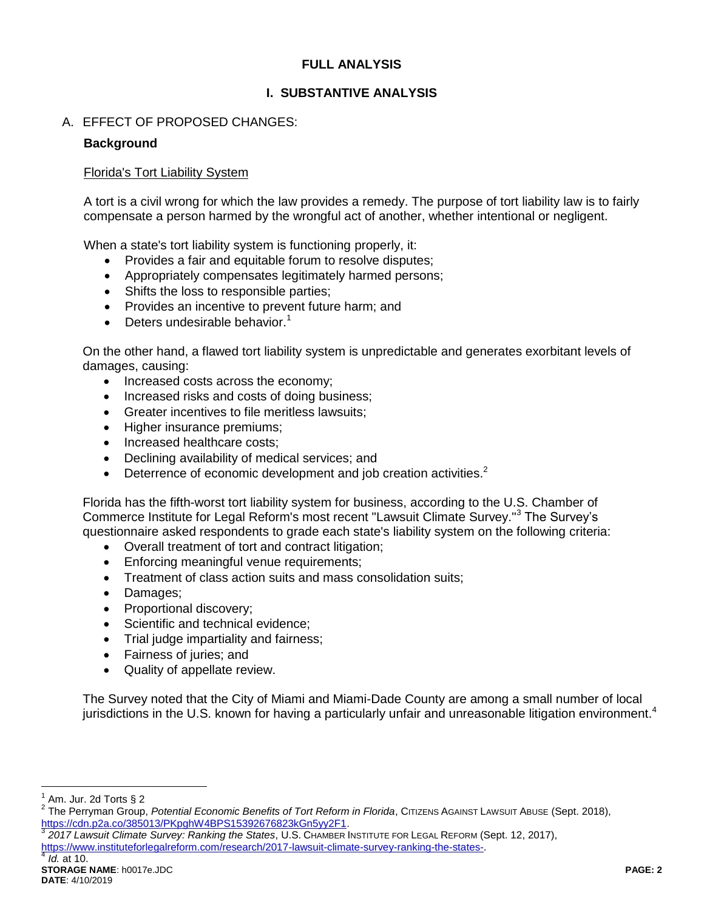# **FULL ANALYSIS**

# **I. SUBSTANTIVE ANALYSIS**

# A. EFFECT OF PROPOSED CHANGES:

## **Background**

#### Florida's Tort Liability System

A tort is a civil wrong for which the law provides a remedy. The purpose of tort liability law is to fairly compensate a person harmed by the wrongful act of another, whether intentional or negligent.

When a state's tort liability system is functioning properly, it:

- Provides a fair and equitable forum to resolve disputes;
- Appropriately compensates legitimately harmed persons;
- Shifts the loss to responsible parties;
- Provides an incentive to prevent future harm: and
- Deters undesirable behavior.<sup>1</sup>

On the other hand, a flawed tort liability system is unpredictable and generates exorbitant levels of damages, causing:

- Increased costs across the economy;
- Increased risks and costs of doing business;
- Greater incentives to file meritless lawsuits;
- Higher insurance premiums;
- Increased healthcare costs;
- Declining availability of medical services; and
- **•** Deterrence of economic development and job creation activities.<sup>2</sup>

Florida has the fifth-worst tort liability system for business, according to the U.S. Chamber of Commerce Institute for Legal Reform's most recent "Lawsuit Climate Survey."<sup>3</sup> The Survey's questionnaire asked respondents to grade each state's liability system on the following criteria:

- Overall treatment of tort and contract litigation;
- Enforcing meaningful venue requirements;
- Treatment of class action suits and mass consolidation suits;
- Damages;
- Proportional discovery;
- Scientific and technical evidence;
- Trial judge impartiality and fairness;
- Fairness of juries; and
- Quality of appellate review.

The Survey noted that the City of Miami and Miami-Dade County are among a small number of local jurisdictions in the U.S. known for having a particularly unfair and unreasonable litigation environment.<sup>4</sup>

 $\overline{a}$ 1 Am. Jur. 2d Torts § 2

*2017 Lawsuit Climate Survey: Ranking the States*, U.S. CHAMBER INSTITUTE FOR LEGAL REFORM (Sept. 12, 2017),

[https://www.instituteforlegalreform.com/research/2017-lawsuit-climate-survey-ranking-the-states-.](https://www.instituteforlegalreform.com/research/2017-lawsuit-climate-survey-ranking-the-states-) 4

<sup>&</sup>lt;sup>2</sup> The Perryman Group, *Potential Economic Benefits of Tort Reform in Florida*, Cιτιzεns Against Lawsuit Abuse (Sept. 2018), [https://cdn.p2a.co/385013/PKpghW4BPS15392676823kGn5yy2F1.](https://cdn.p2a.co/385013/PKpghW4BPS15392676823kGn5yy2F1) 3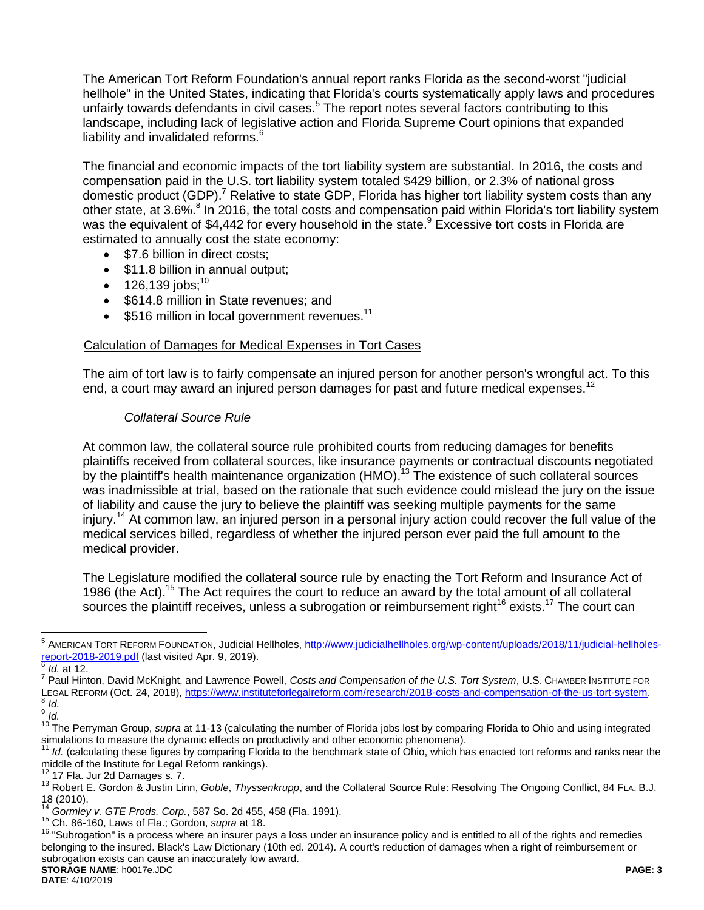The American Tort Reform Foundation's annual report ranks Florida as the second-worst "judicial hellhole" in the United States, indicating that Florida's courts systematically apply laws and procedures unfairly towards defendants in civil cases.<sup>5</sup> The report notes several factors contributing to this landscape, including lack of legislative action and Florida Supreme Court opinions that expanded liability and invalidated reforms. $6$ 

The financial and economic impacts of the tort liability system are substantial. In 2016, the costs and compensation paid in the U.S. tort liability system totaled \$429 billion, or 2.3% of national gross domestic product (GDP).<sup>7</sup> Relative to state GDP, Florida has higher tort liability system costs than any other state, at 3.6%.<sup>8</sup> In 2016, the total costs and compensation paid within Florida's tort liability system was the equivalent of \$4,442 for every household in the state.<sup>9</sup> Excessive tort costs in Florida are estimated to annually cost the state economy:

- \$7.6 billion in direct costs:
- \$11.8 billion in annual output;
- $\bullet$  126,139 jobs:<sup>10</sup>
- \$614.8 million in State revenues; and
- $\bullet$  \$516 million in local government revenues.<sup>11</sup>

#### Calculation of Damages for Medical Expenses in Tort Cases

The aim of tort law is to fairly compensate an injured person for another person's wrongful act. To this end, a court may award an injured person damages for past and future medical expenses.<sup>12</sup>

## *Collateral Source Rule*

At common law, the collateral source rule prohibited courts from reducing damages for benefits plaintiffs received from collateral sources, like insurance payments or contractual discounts negotiated by the plaintiff's health maintenance organization (HMO).<sup>13</sup> The existence of such collateral sources was inadmissible at trial, based on the rationale that such evidence could mislead the jury on the issue of liability and cause the jury to believe the plaintiff was seeking multiple payments for the same injury. <sup>14</sup> At common law, an injured person in a personal injury action could recover the full value of the medical services billed, regardless of whether the injured person ever paid the full amount to the medical provider.

The Legislature modified the collateral source rule by enacting the Tort Reform and Insurance Act of 1986 (the Act).<sup>15</sup> The Act requires the court to reduce an award by the total amount of all collateral sources the plaintiff receives, unless a subrogation or reimbursement right<sup>16</sup> exists.<sup>17</sup> The court can

<sup>—&</sup>lt;br><sup>5</sup> Амекісан Токт Rеғокм Foundation, Judicial Hellholes, <u>http://www.judicialhellholes.org/wp-content/uploads/2018/11/judicial-hellholes-</u> [report-2018-2019.pdf](http://www.judicialhellholes.org/wp-content/uploads/2018/11/judicial-hellholes-report-2018-2019.pdf) (last visited Apr. 9, 2019). 6

*Id.* at 12.

<sup>7</sup> Paul Hinton, David McKnight, and Lawrence Powell, *Costs and Compensation of the U.S. Tort System*, U.S. CHAMBER INSTITUTE FOR LEGAL REFORM (Oct. 24, 2018), <u>https://www.instituteforlegalreform.com/research/2018-costs-and-compensation-of-the-us-tort-system</u>.<br><sup>8</sup> *Id.* 

<sup>9</sup> *Id.*

<sup>&</sup>lt;sup>10</sup> The Perryman Group, *supra* at 11-13 (calculating the number of Florida jobs lost by comparing Florida to Ohio and using integrated simulations to measure the dynamic effects on productivity and other economic phenomena).

Id. (calculating these figures by comparing Florida to the benchmark state of Ohio, which has enacted tort reforms and ranks near the middle of the Institute for Legal Reform rankings).

<sup>12</sup> 17 Fla. Jur 2d Damages s. 7.

<sup>13</sup> Robert E. Gordon & Justin Linn, *Goble*, *Thyssenkrupp*, and the Collateral Source Rule: Resolving The Ongoing Conflict, 84 FLA. B.J. 18 (2010).

<sup>14</sup> *Gormley v. GTE Prods. Corp.*, 587 So. 2d 455, 458 (Fla. 1991).

<sup>15</sup> Ch. 86-160, Laws of Fla.; Gordon, *supra* at 18.

**STORAGE NAME**: h0017e.JDC **PAGE: 3** <sup>16</sup> "Subrogation" is a process where an insurer pays a loss under an insurance policy and is entitled to all of the rights and remedies belonging to the insured. Black's Law Dictionary (10th ed. 2014). A court's reduction of damages when a right of reimbursement or subrogation exists can cause an inaccurately low award.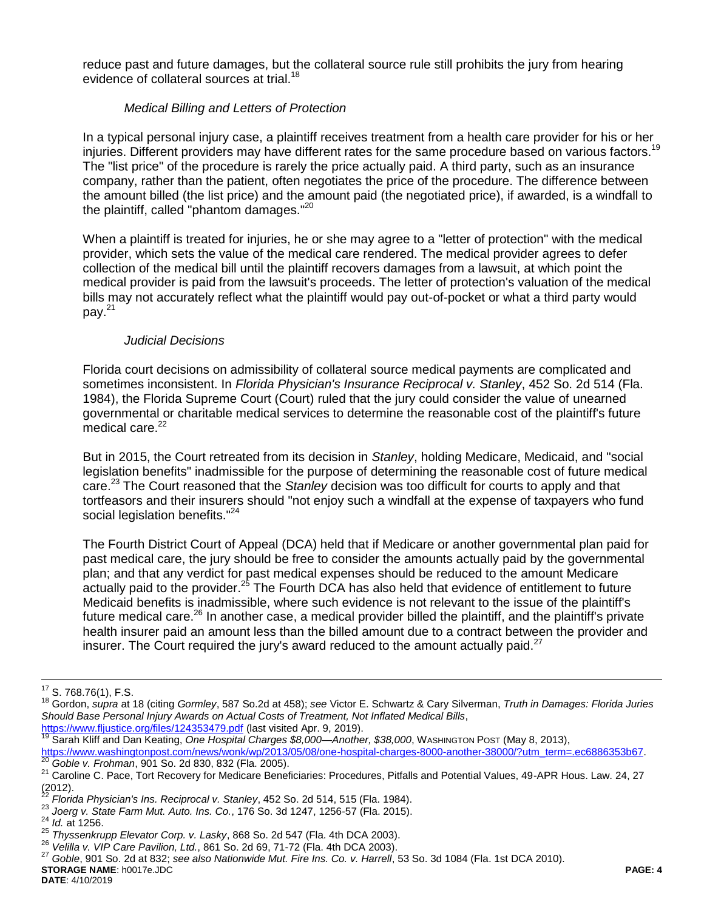reduce past and future damages, but the collateral source rule still prohibits the jury from hearing evidence of collateral sources at trial.<sup>18</sup>

## *Medical Billing and Letters of Protection*

In a typical personal injury case, a plaintiff receives treatment from a health care provider for his or her injuries. Different providers may have different rates for the same procedure based on various factors.<sup>19</sup> The "list price" of the procedure is rarely the price actually paid. A third party, such as an insurance company, rather than the patient, often negotiates the price of the procedure. The difference between the amount billed (the list price) and the amount paid (the negotiated price), if awarded, is a windfall to the plaintiff, called "phantom damages."<sup>20</sup>

When a plaintiff is treated for injuries, he or she may agree to a "letter of protection" with the medical provider, which sets the value of the medical care rendered. The medical provider agrees to defer collection of the medical bill until the plaintiff recovers damages from a lawsuit, at which point the medical provider is paid from the lawsuit's proceeds. The letter of protection's valuation of the medical bills may not accurately reflect what the plaintiff would pay out-of-pocket or what a third party would pay. $^{21}$ 

## *Judicial Decisions*

Florida court decisions on admissibility of collateral source medical payments are complicated and sometimes inconsistent. In *Florida Physician's Insurance Reciprocal v. Stanley*, 452 So. 2d 514 (Fla. 1984), the Florida Supreme Court (Court) ruled that the jury could consider the value of unearned governmental or charitable medical services to determine the reasonable cost of the plaintiff's future medical care.<sup>22</sup>

But in 2015, the Court retreated from its decision in *Stanley*, holding Medicare, Medicaid, and "social legislation benefits" inadmissible for the purpose of determining the reasonable cost of future medical care.<sup>23</sup> The Court reasoned that the *Stanley* decision was too difficult for courts to apply and that tortfeasors and their insurers should "not enjoy such a windfall at the expense of taxpayers who fund social legislation benefits."<sup>24</sup>

The Fourth District Court of Appeal (DCA) held that if Medicare or another governmental plan paid for past medical care, the jury should be free to consider the amounts actually paid by the governmental plan; and that any verdict for past medical expenses should be reduced to the amount Medicare actually paid to the provider.<sup>25</sup> The Fourth DCA has also held that evidence of entitlement to future Medicaid benefits is inadmissible, where such evidence is not relevant to the issue of the plaintiff's future medical care.<sup>26</sup> In another case, a medical provider billed the plaintiff, and the plaintiff's private health insurer paid an amount less than the billed amount due to a contract between the provider and insurer. The Court required the jury's award reduced to the amount actually paid. $27$ 

 $\overline{a}$ 

<https://www.fljustice.org/files/124353479.pdf> (last visited Apr. 9, 2019).

 $17$  S. 768.76(1), F.S.

<sup>18</sup> Gordon, *supra* at 18 (citing *Gormley*, 587 So.2d at 458); *see* Victor E. Schwartz & Cary Silverman, *Truth in Damages: Florida Juries Should Base Personal Injury Awards on Actual Costs of Treatment, Not Inflated Medical Bills*,

<sup>19</sup> Sarah Kliff and Dan Keating, *One Hospital Charges \$8,000—Another, \$38,000*, WASHINGTON POST (May 8, 2013),

[https://www.washingtonpost.com/news/wonk/wp/2013/05/08/one-hospital-charges-8000-another-38000/?utm\\_term=.ec6886353b67.](https://www.washingtonpost.com/news/wonk/wp/2013/05/08/one-hospital-charges-8000-another-38000/?utm_term=.ec6886353b67) <sup>20</sup> *Goble v. Frohman*, 901 So. 2d 830, 832 (Fla. 2005).

<sup>21</sup> Caroline C. Pace, Tort Recovery for Medicare Beneficiaries: Procedures, Pitfalls and Potential Values, 49-APR Hous. Law. 24, 27  $\frac{(2012)}{22}$ .

<sup>22</sup> *Florida Physician's Ins. Reciprocal v. Stanley*, 452 So. 2d 514, 515 (Fla. 1984).

<sup>23</sup> *Joerg v. State Farm Mut. Auto. Ins. Co.*, 176 So. 3d 1247, 1256-57 (Fla. 2015).

<sup>24</sup> *Id.* at 1256.

<sup>25</sup> *Thyssenkrupp Elevator Corp. v. Lasky*, 868 So. 2d 547 (Fla. 4th DCA 2003).

<sup>26</sup> *Velilla v. VIP Care Pavilion, Ltd.*, 861 So. 2d 69, 71-72 (Fla. 4th DCA 2003).

**STORAGE NAME**: h0017e.JDC **PAGE: 4** <sup>27</sup> *Goble*, 901 So. 2d at 832; *see also Nationwide Mut. Fire Ins. Co. v. Harrell*, 53 So. 3d 1084 (Fla. 1st DCA 2010).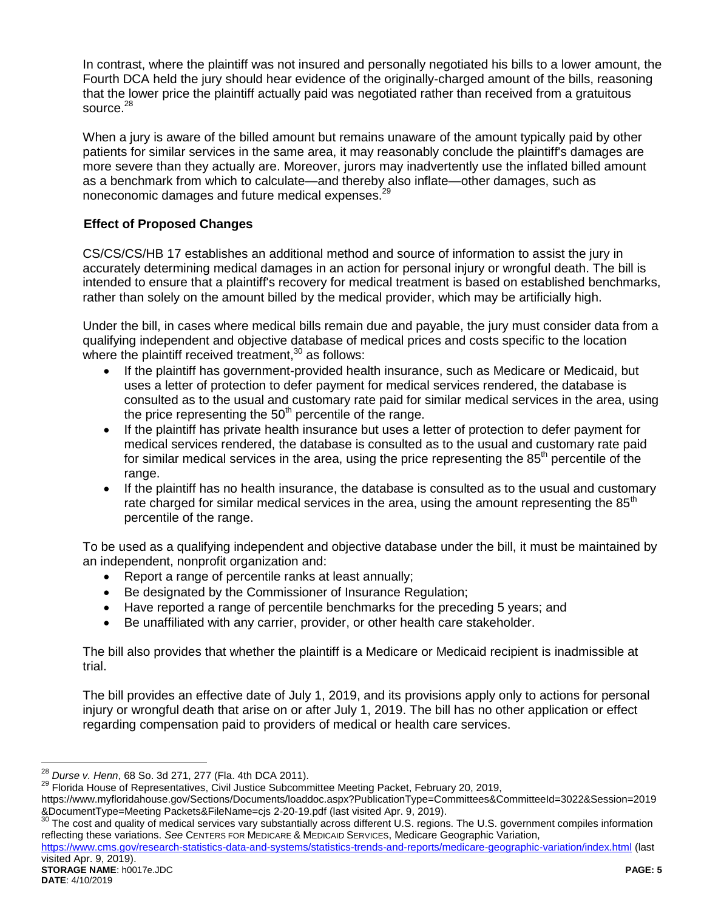In contrast, where the plaintiff was not insured and personally negotiated his bills to a lower amount, the Fourth DCA held the jury should hear evidence of the originally-charged amount of the bills, reasoning that the lower price the plaintiff actually paid was negotiated rather than received from a gratuitous source.<sup>28</sup>

When a jury is aware of the billed amount but remains unaware of the amount typically paid by other patients for similar services in the same area, it may reasonably conclude the plaintiff's damages are more severe than they actually are. Moreover, jurors may inadvertently use the inflated billed amount as a benchmark from which to calculate—and thereby also inflate—other damages, such as noneconomic damages and future medical expenses.<sup>29</sup>

# **Effect of Proposed Changes**

CS/CS/CS/HB 17 establishes an additional method and source of information to assist the jury in accurately determining medical damages in an action for personal injury or wrongful death. The bill is intended to ensure that a plaintiff's recovery for medical treatment is based on established benchmarks, rather than solely on the amount billed by the medical provider, which may be artificially high.

Under the bill, in cases where medical bills remain due and payable, the jury must consider data from a qualifying independent and objective database of medical prices and costs specific to the location where the plaintiff received treatment, $30$  as follows:

- If the plaintiff has government-provided health insurance, such as Medicare or Medicaid, but uses a letter of protection to defer payment for medical services rendered, the database is consulted as to the usual and customary rate paid for similar medical services in the area, using the price representing the  $50<sup>th</sup>$  percentile of the range.
- If the plaintiff has private health insurance but uses a letter of protection to defer payment for medical services rendered, the database is consulted as to the usual and customary rate paid for similar medical services in the area, using the price representing the  $85<sup>th</sup>$  percentile of the range.
- If the plaintiff has no health insurance, the database is consulted as to the usual and customary rate charged for similar medical services in the area, using the amount representing the  $85<sup>th</sup>$ percentile of the range.

To be used as a qualifying independent and objective database under the bill, it must be maintained by an independent, nonprofit organization and:

- Report a range of percentile ranks at least annually;
- Be designated by the Commissioner of Insurance Regulation;
- Have reported a range of percentile benchmarks for the preceding 5 years; and
- Be unaffiliated with any carrier, provider, or other health care stakeholder.

The bill also provides that whether the plaintiff is a Medicare or Medicaid recipient is inadmissible at trial.

The bill provides an effective date of July 1, 2019, and its provisions apply only to actions for personal injury or wrongful death that arise on or after July 1, 2019. The bill has no other application or effect regarding compensation paid to providers of medical or health care services.

 $\overline{a}$ <sup>28</sup> *Durse v. Henn*, 68 So. 3d 271, 277 (Fla. 4th DCA 2011).

<sup>&</sup>lt;sup>29</sup> Florida House of Representatives, Civil Justice Subcommittee Meeting Packet, February 20, 2019,

https://www.myfloridahouse.gov/Sections/Documents/loaddoc.aspx?PublicationType=Committees&CommitteeId=3022&Session=2019 &DocumentType=Meeting Packets&FileName=cjs 2-20-19.pdf (last visited Apr. 9, 2019).

The cost and quality of medical services vary substantially across different U.S. regions. The U.S. government compiles information reflecting these variations. *See* CENTERS FOR MEDICARE & MEDICAID SERVICES, Medicare Geographic Variation,

<https://www.cms.gov/research-statistics-data-and-systems/statistics-trends-and-reports/medicare-geographic-variation/index.html> (last visited Apr. 9, 2019).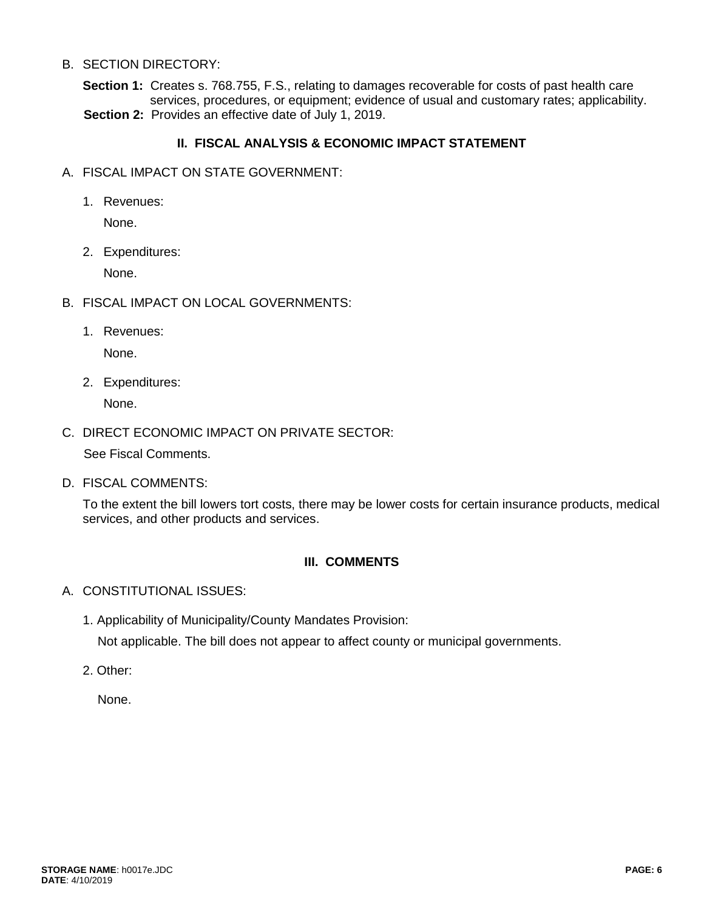#### B. SECTION DIRECTORY:

**Section 1:** Creates s. 768.755, F.S., relating to damages recoverable for costs of past health care services, procedures, or equipment; evidence of usual and customary rates; applicability. **Section 2:** Provides an effective date of July 1, 2019.

# **II. FISCAL ANALYSIS & ECONOMIC IMPACT STATEMENT**

- A. FISCAL IMPACT ON STATE GOVERNMENT:
	- 1. Revenues:

None.

2. Expenditures:

None.

- B. FISCAL IMPACT ON LOCAL GOVERNMENTS:
	- 1. Revenues:

None.

2. Expenditures:

None.

## C. DIRECT ECONOMIC IMPACT ON PRIVATE SECTOR:

See Fiscal Comments.

D. FISCAL COMMENTS:

To the extent the bill lowers tort costs, there may be lower costs for certain insurance products, medical services, and other products and services.

## **III. COMMENTS**

- A. CONSTITUTIONAL ISSUES:
	- 1. Applicability of Municipality/County Mandates Provision:

Not applicable. The bill does not appear to affect county or municipal governments.

2. Other:

None.